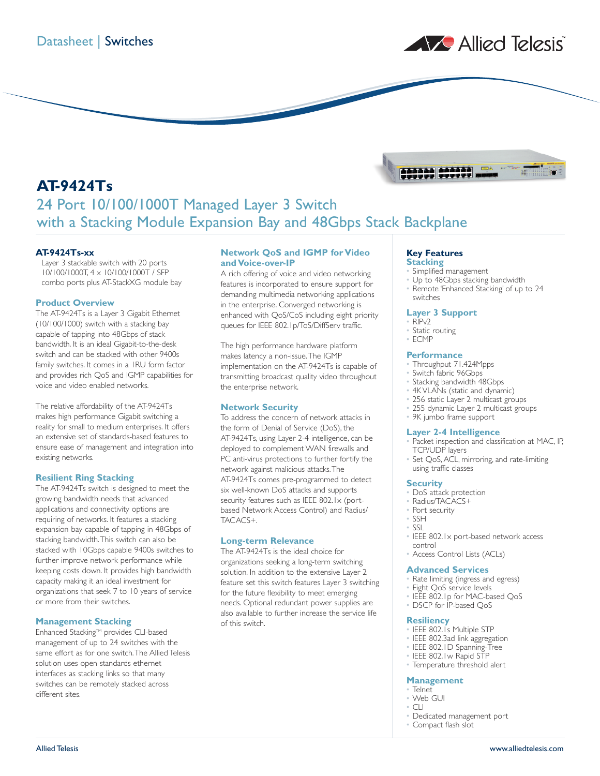

# **AT-9424Ts** 24 Port 10/100/1000T Managed Layer 3 Switch with a Stacking Module Expansion Bay and 48Gbps Stack Backplane

## **AT-9424Ts-xx**

Layer 3 stackable switch with 20 ports 10/100/1000T, 4 x 10/100/1000T / SFP combo ports plus AT-StackXG module bay

#### **Product Overview**

The AT-9424Ts is a Layer 3 Gigabit Ethernet (10/100/1000) switch with a stacking bay capable of tapping into 48Gbps of stack bandwidth. It is an ideal Gigabit-to-the-desk switch and can be stacked with other 9400s family switches. It comes in a 1RU form factor and provides rich QoS and IGMP capabilities for voice and video enabled networks.

The relative affordability of the AT-9424Ts makes high performance Gigabit switching a reality for small to medium enterprises. It offers an extensive set of standards-based features to ensure ease of management and integration into existing networks.

# **Resilient Ring Stacking**

The AT-9424Ts switch is designed to meet the growing bandwidth needs that advanced applications and connectivity options are requiring of networks. It features a stacking expansion bay capable of tapping in 48Gbps of stacking bandwidth.This switch can also be stacked with 10Gbps capable 9400s switches to further improve network performance while keeping costs down. It provides high bandwidth capacity making it an ideal investment for organizations that seek 7 to 10 years of service or more from their switches.

### **Management Stacking**

Enhanced Stacking™ provides CLI-based management of up to 24 switches with the same effort as for one switch.The Allied Telesis solution uses open standards ethernet interfaces as stacking links so that many switches can be remotely stacked across different sites.

## **Network QoS and IGMP for Video and Voice-over-IP**

A rich offering of voice and video networking features is incorporated to ensure support for demanding multimedia networking applications in the enterprise. Converged networking is enhanced with QoS/CoS including eight priority queues for IEEE 802.1p/ToS/DiffServ traffic.

The high performance hardware platform makes latency a non-issue.The IGMP implementation on the AT-9424Ts is capable of transmitting broadcast quality video throughout the enterprise network.

### **Network Security**

To address the concern of network attacks in the form of Denial of Service (DoS), the AT-9424Ts, using Layer 2-4 intelligence, can be deployed to complement WAN firewalls and PC anti-virus protections to further fortify the network against malicious attacks.The AT-9424Ts comes pre-programmed to detect six well-known DoS attacks and supports security features such as IEEE 802.1x (portbased Network Access Control) and Radius/ TACACS+.

### **Long-term Relevance**

The AT-9424Ts is the ideal choice for organizations seeking a long-term switching solution. In addition to the extensive Layer 2 feature set this switch features Layer 3 switching for the future flexibility to meet emerging needs. Optional redundant power supplies are also available to further increase the service life of this switch.

# **Key Features**

111111 111111<br>111111 111111

# **Stacking**

- Simplified management
- Up to 48Gbps stacking bandwidth • Remote 'Enhanced Stacking' of up to 24 switches

# **Layer 3 Support**

- RIPv2
- Static routing • ECMP

#### **Performance**

- Throughput 71.424Mpps
	- Switch fabric 96Gbps
	- Stacking bandwidth 48Gbps
	- 4K VLANs (static and dynamic)
	- 256 static Layer 2 multicast groups
	- 255 dynamic Layer 2 multicast groups
	- 9K jumbo frame support

### **Layer 2-4 Intelligence**

- Packet inspection and classification at MAC, IP, TCP/UDP layers
- Set QoS, ACL, mirroring, and rate-limiting using traffic classes

#### **Security**

- DoS attack protection
- Radius/TACACS+
- Port security
- SSH
- SSL
	- IEEE 802.1x port-based network access control
- Access Control Lists (ACLs)

#### **Advanced Services**

- Rate limiting (ingress and egress)
- Eight QoS service levels
- IEEE 802.1p for MAC-based QoS
- DSCP for IP-based QoS

#### **Resiliency**

- IEEE 802.1s Multiple STP
- IEEE 802.3ad link aggregation
- IEEE 802.1D Spanning-Tree
- IEEE 802.1w Rapid STP
- Temperature threshold alert

#### **Management**

- Telnet • Web GUI
- CLI
- Dedicated management port
- Compact flash slot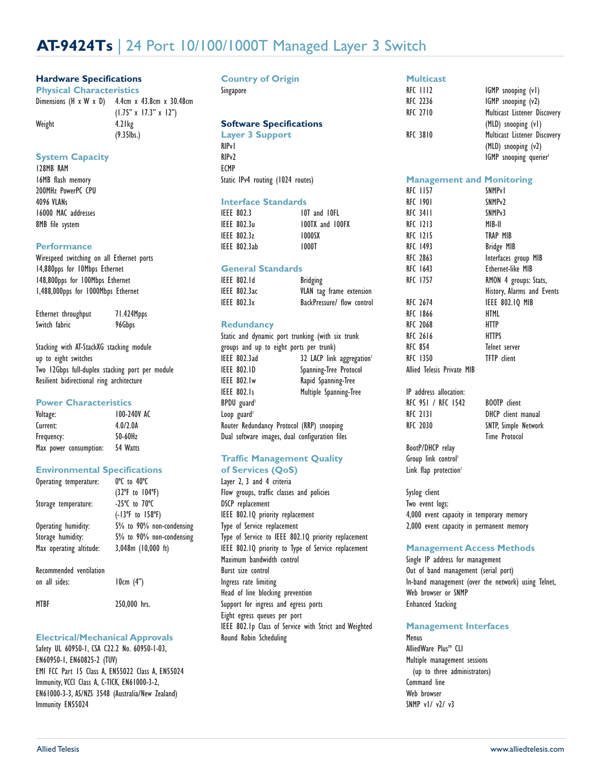# **AT-9424Ts** | 24 Port 10/100/1000T Managed Layer 3 Switch

30.48cm

# **Hardware Specifications**

| <b>Physical Characteristics</b>                        |                                   |  |
|--------------------------------------------------------|-----------------------------------|--|
| Dimensions $(H \times W \times D)$ 4.4cm x 43.8cm x 30 |                                   |  |
|                                                        | $(1.75" \times 17.3" \times 12")$ |  |
| Weight                                                 | $4.2$ lkg                         |  |

(9.35lbs.)

**System Capacity**

128MB RAM 16MB flash memory 200MHz PowerPC CPU 4096 VLANs 16000 MAC addresses 8MB file system

#### **Performance**

Wirespeed switching on all Ethernet ports 14,880pps for 10Mbps Ethernet 148,800pps for 100Mbps Ethernet 1,488,000pps for 1000Mbps Ethernet

| Ethernet throughput | 71.424Mpps |
|---------------------|------------|
| Switch fabric       | 96Gbps     |

Stacking with AT-StackXG stacking module up to eight switches Two 12Gbps full-duplex stacking port per module Resilient bidirectional ring architecture

### **Power Characteristics**

| Voltage:               | 100-240V AC |
|------------------------|-------------|
| Current:               | 4.0/2.0A    |
| Frequency:             | 50-60Hz     |
| Max power consumption: | 54 Watts    |

### **Environmental Specifications**

| Operating temperature:  | 0°C to 40°C                               |
|-------------------------|-------------------------------------------|
|                         | $(32^{\circ}F$ to $104^{\circ}F)$         |
| Storage temperature:    | $-25^{\circ}$ C to $70^{\circ}$ C         |
|                         | $(-13^{\circ}F \text{ to } 158^{\circ}F)$ |
| Operating humidity:     | 5% to 90% non-condensing                  |
| Storage humidity:       | 5% to 90% non-condensing                  |
| Max operating altitude: | $3,048m$ (10,000 ft)                      |
| Recommended ventilation |                                           |
| on all sides:           | 10cm (4")                                 |
| <b>MTBF</b>             | 250,000 hrs.                              |

### **Electrical/Mechanical Approvals**

Safety UL 60950-1, CSA C22.2 No. 60950-1-03, EN60950-1, EN60825-2 (TUV) EMI FCC Part 15 Class A, EN55022 Class A, EN55024 Immunity, VCCI Class A, C-TICK, EN61000-3-2, EN61000-3-3, AS/NZS 3548 (Australia/New Zealand) Immunity EN55024

| <b>Country of Origin</b><br>Singapore |
|---------------------------------------|
|                                       |
|                                       |
| <b>Software Specifications</b>        |
| <b>Layer 3 Support</b>                |
| <b>RIP</b> <sub>v</sub>               |
|                                       |

RIPv2 ECMP Static IPv4 routing (1024 routes)

### **Interface Standards**

| IEEE 802.3   | 10T and 10FL    |
|--------------|-----------------|
| IEEE 802.3u  | 100TX and 100FX |
| IEEE 802.3z  | 1000SX          |
| IEEE 802.3ab | 1000T           |

### **General Standards**

| IEEE 802.Id         | <b>Bridging</b>            |
|---------------------|----------------------------|
| <b>IEEE 802.3ac</b> | VLAN tag frame extension   |
| IEEE 802.3x         | BackPressure/ flow control |

## **Redundancy**

Static and dynamic port trunking (with six trunk groups and up to eight ports per trunk) IEEE 802.3ad 32 LACP link aggregation IEEE 802.1D Spanning-Tree Protocol IEEE 802.1w Rapid Spanning-Tree IEEE 802.1s Multiple Spanning-Tree BPDU guard<sup>1</sup> Loop guard $<sup>1</sup>$ </sup> Router Redundancy Protocol (RRP) snooping Dual software images, dual configuration files

## **Traffic Management Quality of Services (QoS)**

Layer 2, 3 and 4 criteria Flow groups, traffic classes and policies DSCP replacement IEEE 802.1Q priority replacement Type of Service replacement Type of Service to IEEE 802.1Q priority replacement IEEE 802.1Q priority to Type of Service replacement Maximum bandwidth control Burst size control Ingress rate limiting Head of line blocking prevention Support for ingress and egress ports Eight egress queues per port IEEE 802.1p Class of Service with Strict and Weighted Round Robin Scheduling

## **Multicast**

| RFC 1112 | IGMP snooping (v1)           |
|----------|------------------------------|
| RFC 2236 | IGMP snooping (v2)           |
| RFC 2710 | Multicast Listener Discovery |
|          | (MLD) snooping (v1)          |
| RFC 3810 | Multicast Listener Discovery |
|          | (MLD) snooping (v2)          |
|          | IGMP snooping querier        |

#### **Management and Monitoring**

| RFC 1157                   | <b>SNMPv1</b>              |
|----------------------------|----------------------------|
| RFC 1901                   | SNMP <sub>v2</sub>         |
| RFC 3411                   | SNMP <sub>v</sub> 3        |
| <b>RFC 1213</b>            | MIB-II                     |
| RFC 1215                   | TRAP MIB                   |
| RFC 1493                   | <b>Bridge MIB</b>          |
| RFC 2863                   | Interfaces group MIB       |
| RFC 1643                   | Ethernet-like MIB          |
| RFC 1757                   | RMON 4 groups: Stats,      |
|                            | History, Alarms and Events |
| RFC 2674                   | IEEE 802.IQ MIB            |
| RFC 1866                   | HTML                       |
| RFC 2068                   | HTTP                       |
| RFC 2616                   | <b>HTTPS</b>               |
| <b>RFC 854</b>             | Telnet server              |
| RFC 1350                   | <b>TFTP</b> client         |
| Allied Telesis Private MIB |                            |
|                            |                            |

IP address allocation: RFC 951 / RFC 1542 BOOTP client RFC 2131 DHCP client manual RFC 2030 SNTP, Simple Network

Time Protocol

BootP/DHCP relay Group link control<sup>1</sup> Link flap protection<sup>1</sup>

Syslog client Two event logs: 4,000 event capacity in temporary memory 2,000 event capacity in permanent memory

# **Management Access Methods**

Single IP address for management Out of band management (serial port) In-band management (over the network) using Telnet, Web browser or SNMP Enhanced Stacking

### **Management Interfaces**

Menus AlliedWare Plus<sup>™</sup> CLI Multiple management sessions (up to three administrators) Command line Web browser SNMP v1/ v2/ v3